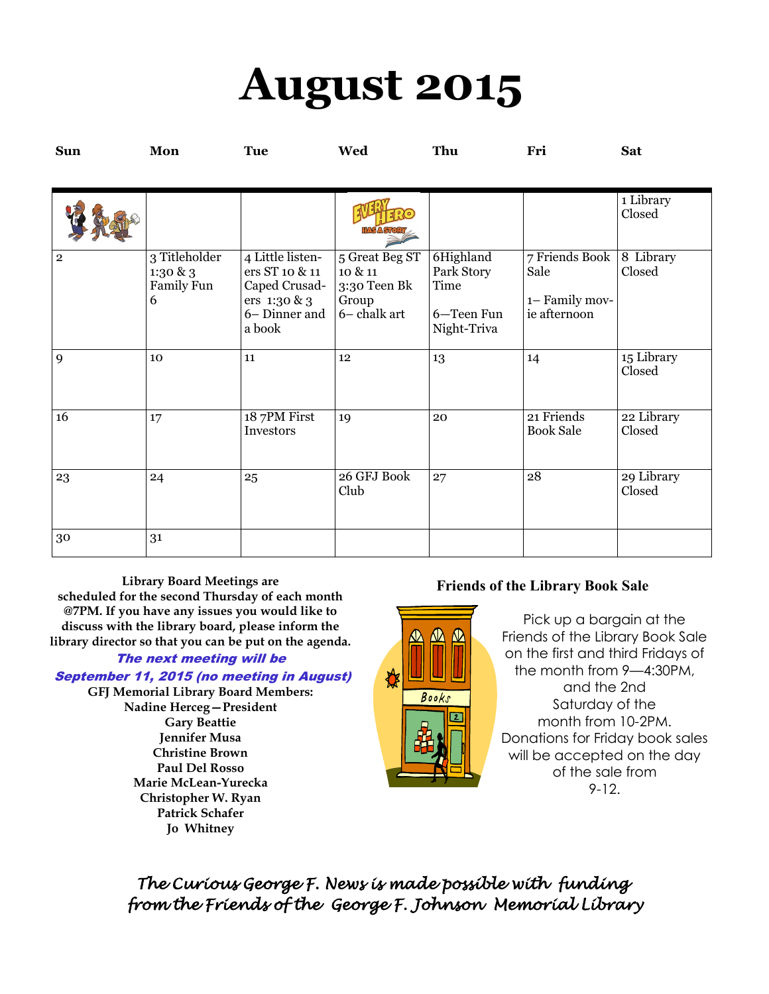# **August 2015**

| <b>Sun</b>     | Mon                                          | <b>Tue</b>                                                                                     | Wed                                                               | Thu                                                          | Fri                                                      | <b>Sat</b>           |
|----------------|----------------------------------------------|------------------------------------------------------------------------------------------------|-------------------------------------------------------------------|--------------------------------------------------------------|----------------------------------------------------------|----------------------|
|                |                                              |                                                                                                |                                                                   |                                                              |                                                          |                      |
|                |                                              |                                                                                                |                                                                   |                                                              |                                                          | 1 Library<br>Closed  |
| $\overline{2}$ | 3 Titleholder<br>1:30 & 3<br>Family Fun<br>6 | 4 Little listen-<br>ers ST 10 & 11<br>Caped Crusad-<br>ers 1:30 & 3<br>6– Dinner and<br>a book | 5 Great Beg ST<br>10 & 11<br>3:30 Teen Bk<br>Group<br>6-chalk art | 6Highland<br>Park Story<br>Time<br>6-Teen Fun<br>Night-Triva | 7 Friends Book<br>Sale<br>1- Family mov-<br>ie afternoon | 8 Library<br>Closed  |
| 9              | 10                                           | 11                                                                                             | 12                                                                | 13                                                           | 14                                                       | 15 Library<br>Closed |
| 16             | 17                                           | 187PM First<br>Investors                                                                       | 19                                                                | 20                                                           | 21 Friends<br><b>Book Sale</b>                           | 22 Library<br>Closed |
| 23             | 24                                           | 25                                                                                             | 26 GFJ Book<br>Club                                               | 27                                                           | 28                                                       | 29 Library<br>Closed |
| 30             | 31                                           |                                                                                                |                                                                   |                                                              |                                                          |                      |

**Library Board Meetings are scheduled for the second Thursday of each month @7PM. If you have any issues you would like to discuss with the library board, please inform the library director so that you can be put on the agenda.** 

## The next meeting will be

September 11, 2015 (no meeting in August) **GFJ Memorial Library Board Members: Nadine Herceg—President Gary Beattie Jennifer Musa**

**Christine Brown Paul Del Rosso Marie McLean-Yurecka Christopher W. Ryan Patrick Schafer Jo Whitney**

## **Friends of the Library Book Sale**

Pick up a bargain at the Friends of the Library Book Sale on the first and third Fridays of the month from 9—4:30PM, and the 2nd Saturday of the month from 10-2PM. Donations for Friday book sales will be accepted on the day of the sale from 9-12.

*The Curious George F. News is made possible with funding from the Friends of the George F. Johnson Memorial Library* 

食

 $\mathbf{A} \mathbf{A} \mathbf{A}$ 

Books